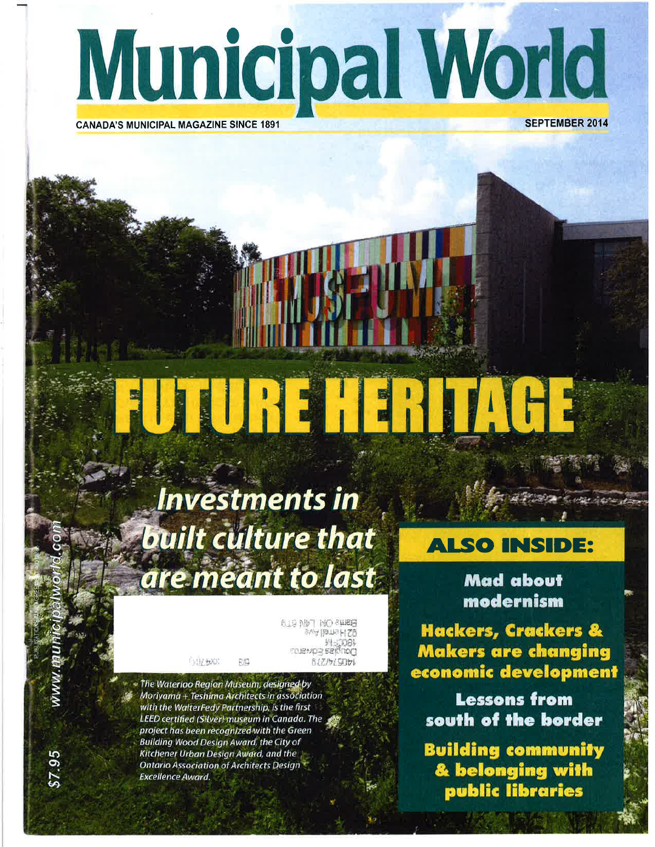

### **CANADA'S MUNICIPAL MAGAZINE SINCE 1891**

**SEPTEMBER 2014** 

# JURIH RIA

# **Investments in built culture that** are meant to last

**BLB NBT NO SWEET** 四月54日的 TRL to izviora sektoram 8/7/5/5051

The Waterloo Region Museum, designed by Moriyama + Teshima Architects in association with the WalterFedy Partnership, is the first LEED certified (Silver) museum in Canada. The project has been recognized with the Green **Building Wood Design Award, the City of** Kitchener Urban Design Award, and the **Ontario Association of Architects Design Excellence Award.** 

**SHERE** 

## **ALSO INSIDE:**

**Mad about** modernism

**Hackers, Crackers &** Makers are changing economic development

**Lessons from** south of the border

**Building community** & belonging with<br>public libraries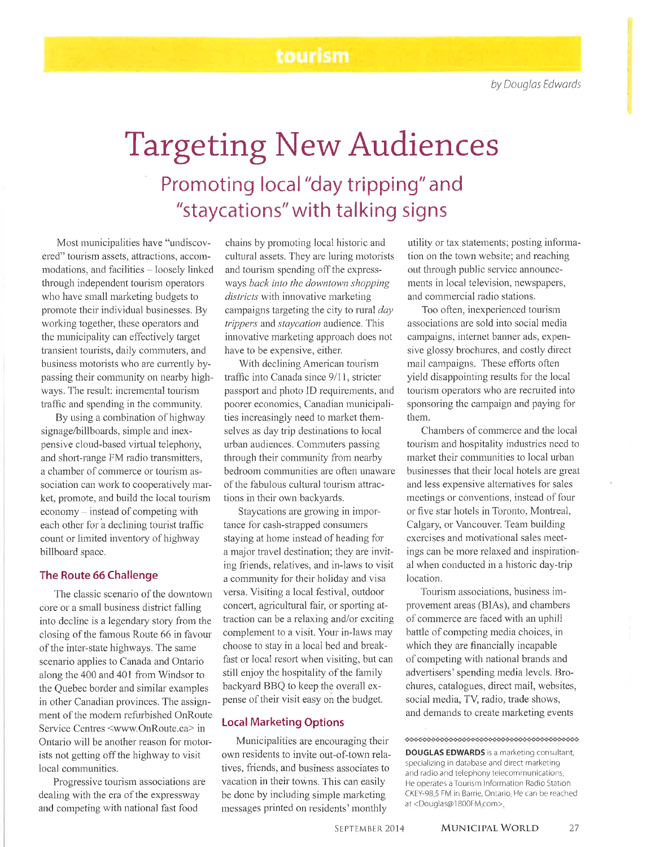## tourism

# Targeting New Audiences Promoting local "day tripping" and "staycations" with talking signs

Most municipalities have "undiscovered" tourism assets, attractions, accommodations, and facilities - loosely linked through independent tourism operators who have small marketing budgets to promote their individual businesses. By working together, these operators and the municipality can effectively target transient tourists, daily comrnuters, and business motorists who are currently bypassing their communify on nearby highways. The result: incremental tourism traffic and spending in the community.

By using a combination of highway signage/billboards, simple and inexpensive cloud-based virtual telephony, and short-range FM radio transmitters, a chamber of commerce or tourism association can work to cooperatively market, promote, and build the local tourism  $e \text{con}$  economy – instead of competing with each other for a declining tourist traffic count or limited inventory of highway billboard space.

#### The Route 66 Challenge

The classic scenario of the downtown core or a small business district falling into decline is a legendary story fronr the closing of the famous Route 66 in favour of the inter-state highways. The same scenario applies to Canada and Ontario along the 400 and 401 from Windsor to the Quebec border and similar exarnples in other Canadian provinces. The assignment of the modern refurbished OnRoute Service Centres <www.OnRoute.ca> in Ontario will be another reason for motorists not getting off the highway to visit local communities.

Progressive tourism associations are dealing with the era of the expressway and competing with national fast food

chains by promoting local historic and cultural assets. They are luring motorists and tourism spending off the expressways back into the downtown shopping districts with innovative marketing campaigns targeting the city to rural day trippers and staycation audience. This innovative marketing approach does not have to be expensive, either.

With declining American tourism traffic into Canada since 9/11, stricter passport and photo ID requirements, and poorer economies, Canadian municipalities increasingly need to market themselves as day trip destinations to local urban audiences. Commuters passing through their community from nearby bedroom communities are often unaware of the fabulous cultural tourism attractions in their own backyards.

Staycations are growing in importance for cash-strapped consumers staying at horne instead of heading for a major travel destination; they are inviting friends, relatives, and in-laws to visit a community for their holiday and visa versa. Visiting a local festival, outdoor concert, agricultural fair, or sporting attraction can be a relaxing and/or exciting complement to a visit. Your in-laws may choose to stay in a local bed and breakfast or local resort when visiting, but can still enjoy the hospitality of the family backyard BBQ to keep the overall expense of their visit easy on the budget.

#### Local Marketing Options

Municipalities are encouraging their' own residents to invite out-of-town relatives, friends, and business associates to vacation in their towns. This can easily be done by including simple marketing messages printed on residents' monthly

utility or tax statements; posting infonnation on the town website; and reaching out through public service announcements in local television, newspapers, and commercial radio stations.

Too often, inexperienced tourism associations are sold into social media campaigns, internet banner ads, expensive glossy brochures, and costly direct mail campaigns. These efforts often yield disappointing results for the local tourism operators who are recruited into sponsoring the campaign and paying for them.

Chambers of commerce and the local tourism and hospitality industries need to market their communities to local urban businesses that their local hotels are great and less expensive alternatives for sales meetings or conventions, instead of four or'five star hotels in Toronto, Montreal, Calgary, or Vancouver. Team building exercises and motivational sales meetings can be more relaxed and inspirational when conducted in a historic day-trip location.

Tourism associations, business improvement areas (BIAs), and chambers of commerce are faced with an uphill battle of competing media choices, in which they are financially incapable of competing with national brands and advertisers' spending media levels. Brochures, catalogues, direct mail, websites, social media, TV, radio, trade shows, and demands to create marketing events

DOUGLAS EDWARDS is a marketing consultant, specializing in database and direct marketing and radio and telephony telecommunications He operates a Tourism Information Radio Station CKEY-98 5 FN/ in Barrie, Ontario He can be reached at <Douglas@1 800FM com>